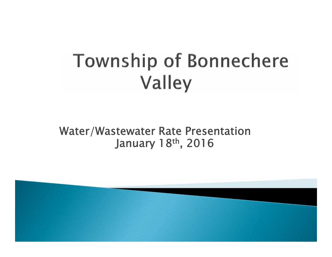# **Township of Bonnechere** Valley

#### **Water/Wastewater Rate Presentation January 18th, 2016**

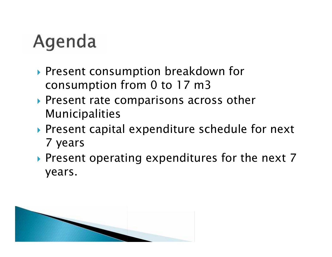## Agenda

- ▶ Present consumption breakdown for consumption from 0 to 17 m3
- ▶ Present rate comparisons across other Municipalities
- ▶ Present capital expenditure schedule for next 7 years
- Present operating expenditures for the next 7 years.

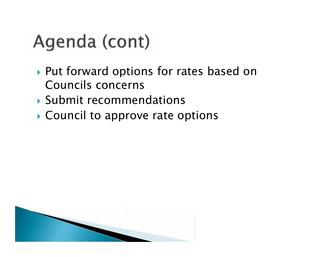## Agenda (cont)

- ▶ Put forward options for rates based on Councils concerns
- Submit recommendations
- ▶ Council to approve rate options

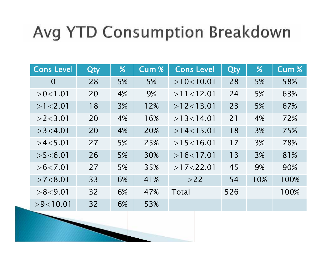## Avg YTD Consumption Breakdown

| <b>Cons Level</b> | <b>Qty</b> | %  | <b>Cum %</b> | <b>Cons Level</b> | Qty | %   | Cum % |
|-------------------|------------|----|--------------|-------------------|-----|-----|-------|
| $\overline{0}$    | 28         | 5% | 5%           | >10<10.01         | 28  | 5%  | 58%   |
| >0<1.01           | 20         | 4% | 9%           | $>11$ < 12.01     | 24  | 5%  | 63%   |
| $>1$ < 2.01       | 18         | 3% | 12%          | $>12$ < 13.01     | 23  | 5%  | 67%   |
| $>2$ < 3.01       | 20         | 4% | 16%          | $>13$ < 14.01     | 21  | 4%  | 72%   |
| $>3$ < 4.01       | 20         | 4% | 20%          | >14<15.01         | 18  | 3%  | 75%   |
| >4<5.01           | 27         | 5% | 25%          | >15<16.01         | 17  | 3%  | 78%   |
| >5 < 6.01         | 26         | 5% | 30%          | >16<17.01         | 13  | 3%  | 81%   |
| $>6$ < 7.01       | 27         | 5% | 35%          | $>17<$ 22.01      | 45  | 9%  | 90%   |
| $>7$ < 8.01       | 33         | 6% | 41%          | >22               | 54  | 10% | 100%  |
| >8<9.01           | 32         | 6% | 47%          | Total             | 526 |     | 100%  |
| >9<10.01          | 32         | 6% | 53%          |                   |     |     |       |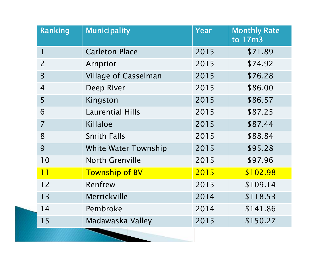| Ranking        | <b>Municipality</b>         | Year | <b>Monthly Rate</b><br>to 17m3 |
|----------------|-----------------------------|------|--------------------------------|
| 1              | <b>Carleton Place</b>       | 2015 | \$71.89                        |
| $\overline{2}$ | Arnprior                    | 2015 | \$74.92                        |
| $\overline{3}$ | <b>Village of Casselman</b> | 2015 | \$76.28                        |
| $\overline{4}$ | Deep River                  | 2015 | \$86.00                        |
| 5              | Kingston                    | 2015 | \$86.57                        |
| 6              | <b>Laurential Hills</b>     | 2015 | \$87.25                        |
| $\overline{7}$ | Killaloe                    | 2015 | \$87.44                        |
| 8              | <b>Smith Falls</b>          | 2015 | \$88.84                        |
| 9              | <b>White Water Township</b> | 2015 | \$95.28                        |
| 10             | <b>North Grenville</b>      | 2015 | \$97.96                        |
| 11             | <b>Township of BV</b>       | 2015 | \$102.98                       |
| 12             | Renfrew                     | 2015 | \$109.14                       |
| 13             | Merrickville                | 2014 | \$118.53                       |
| 14             | Pembroke                    | 2014 | \$141.86                       |
| 15             | Madawaska Valley            | 2015 | \$150.27                       |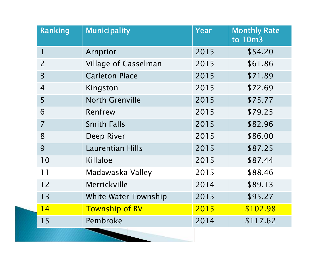| Ranking        | <b>Municipality</b>         | Year | <b>Monthly Rate</b><br>to 10m3 |
|----------------|-----------------------------|------|--------------------------------|
| 1              | Arnprior                    | 2015 | \$54.20                        |
| $\overline{2}$ | <b>Village of Casselman</b> | 2015 | \$61.86                        |
| $\overline{3}$ | <b>Carleton Place</b>       | 2015 | \$71.89                        |
| $\overline{4}$ | Kingston                    | 2015 | \$72.69                        |
| 5              | <b>North Grenville</b>      | 2015 | \$75.77                        |
| 6              | Renfrew                     | 2015 | \$79.25                        |
| $\overline{7}$ | <b>Smith Falls</b>          | 2015 | \$82.96                        |
| 8              | Deep River                  | 2015 | \$86.00                        |
| 9              | <b>Laurentian Hills</b>     | 2015 | \$87.25                        |
| 10             | Killaloe                    | 2015 | \$87.44                        |
| 11             | Madawaska Valley            | 2015 | \$88.46                        |
| 12             | Merrickville                | 2014 | \$89.13                        |
| 13             | <b>White Water Township</b> | 2015 | \$95.27                        |
| 14             | <b>Township of BV</b>       | 2015 | \$102.98                       |
| 15             | Pembroke                    | 2014 | \$117.62                       |

I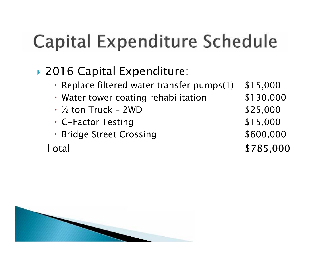## ▶ 2016 Capital Expenditure:

- Replace filtered water transfer pumps(1) \$15,000
- Water tower coating rehabilitation  $$130,000$
- $\frac{1}{2}$  ton Truck  $2WD$  \$25,000
- C-Factor Testing \$15,000
- Bridge Street Crossing **\$600,000**

Total \$785,000

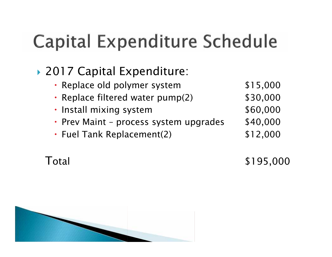#### ▶ 2017 Capital Expenditure:

- Replace old polymer system  $$15,000$
- Replace filtered water pump(2) \$30,000
- Install mixing system  $$60,000$
- Prev Maint process system upgrades \$40,000
- Fuel Tank Replacement(2) \$12,000

Total \$195,000

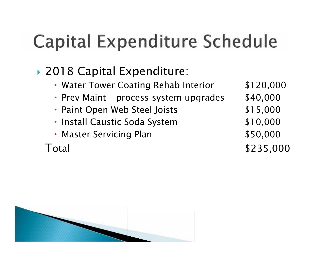## ▶ 2018 Capital Expenditure:

- Water Tower Coating Rehab Interior \$120,000
- Prev Maint process system upgrades \$40,000
- Paint Open Web Steel Joists \$15,000
- Install Caustic Soda System  $$10,000$
- Master Servicing Plan **\$50,000**

Total \$235,000

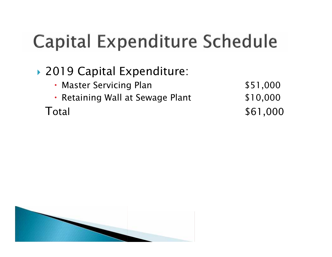## ▶ 2019 Capital Expenditure:

- Master Servicing Plan **\$51,000**
- Retaining Wall at Sewage Plant \$10,000

Total \$61,000

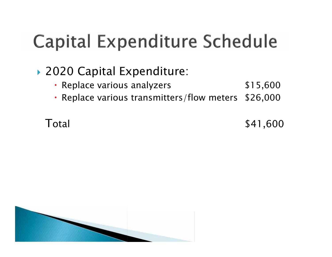#### ▶ 2020 Capital Expenditure:

- Replace various analyzers **\$15,600**
- Replace various transmitters/flow meters \$26,000

Total \$41,600

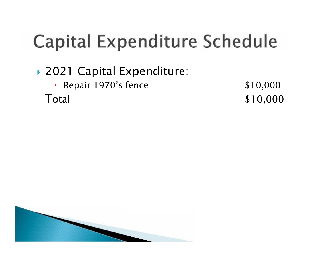## ▶ 2021 Capital Expenditure:

• Repair 1970's fence \$10,000

Total \$10,000

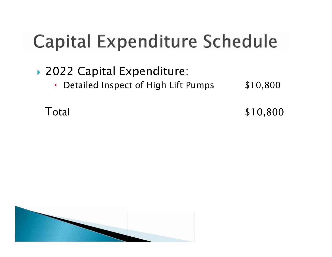## ▶ 2022 Capital Expenditure:

• Detailed Inspect of High Lift Pumps \$10,800

Total \$10,800

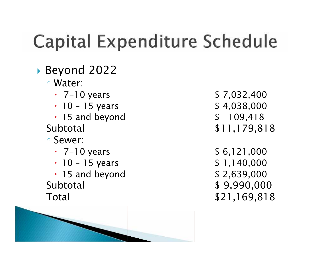- ▶ Beyond 2022
	- Water:
	-
	- $\cdot$  10 15 years  $$ 4,038,000$
	- 15 and beyond \$ 109,418
	- - Sewer:
		- $\cdot$  7-10 years  $\cdot$  5 6,121,000
		- $\cdot$  10 15 years  $\downarrow$  1,140,000
	- 15 and beyond \$ 2,639,000 Subtotal \$ 9,990,000 Total \$21,169,818



- $\cdot$  7-10 years  $$ 7,032,400$ Subtotal \$11,179,818
	-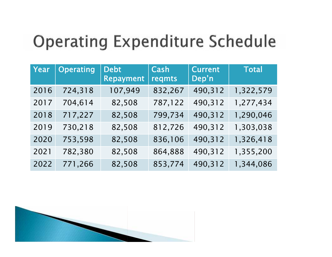## **Operating Expenditure Schedule**

| Year | <b>Operating</b> | <b>Debt</b><br><b>Repayment</b> | Cash<br>regmts | <b>Current</b><br>Dep'n | <b>Total</b> |
|------|------------------|---------------------------------|----------------|-------------------------|--------------|
| 2016 | 724,318          | 107,949                         | 832,267        | 490,312                 | 1,322,579    |
| 2017 | 704,614          | 82,508                          | 787,122        | 490,312                 | 1,277,434    |
| 2018 | 717,227          | 82,508                          | 799,734        | 490,312                 | 1,290,046    |
| 2019 | 730,218          | 82,508                          | 812,726        | 490,312                 | 1,303,038    |
| 2020 | 753,598          | 82,508                          | 836,106        | 490,312                 | 1,326,418    |
| 2021 | 782,380          | 82,508                          | 864,888        | 490,312                 | 1,355,200    |
| 2022 | 771,266          | 82,508                          | 853,774        | 490,312                 | 1,344,086    |

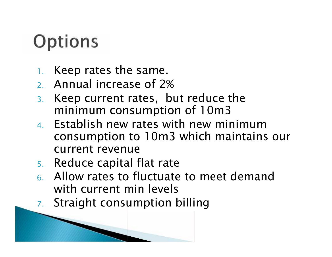## Options

- 1. Keep rates the same.
- 2. Annual increase of 2%
- 3. Keep current rates, but reduce the minimum consumption of 10m3
- 4. Establish new rates with new minimum consumption to 10m3 which maintains our current revenue
- 5. Reduce capital flat rate
- 6. Allow rates to fluctuate to meet demand with current min levels
- 7. Straight consumption billing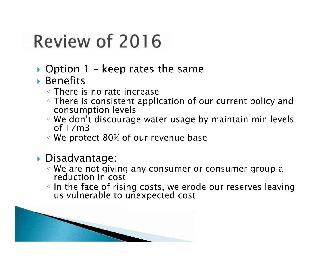## Review of 2016

- $\triangleright$  Option 1 keep rates the same
- ▶ Benefits
	- There is no rate increase
	- There is consistent application of our current policy and consumption levels
	- We don't discourage water usage by maintain min levels<br>of 17m3
	- We protect 80% of our revenue base
- ▶ Disadvantage:
	- We are not giving any consumer or consumer group a reduction in cost
	- In the face of rising costs, we erode our reserves leaving us vulnerable to unexpected cost

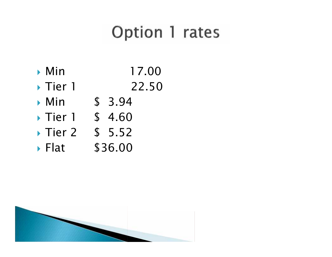## Option 1 rates

- ▶ Min 17.00
- ◆ Tier 1 22.50
- ▶ Min \$ 3.94
- Tier 1 \$ 4.60
- Tier 2 \$ 5.52
- ▶ Flat \$36.00

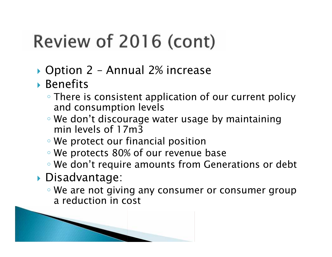# Review of 2016 (cont)

- ▶ Option 2 Annual 2% increase
- Benefits
	- There is consistent application of our current policy and consumption levels
	- We don't discourage water usage by maintaining min levels of 17m3
	- We protect our financial position
	- We protects 80% of our revenue base
	- We don't require amounts from Generations or debt
- Disadvantage:
	- We are not giving any consumer or consumer group a reduction in cost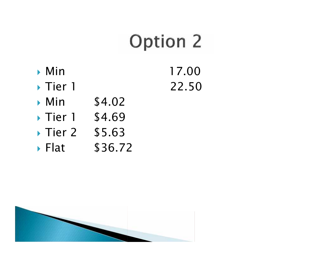# **Option 2**

- ▶ Min 17.00 ◆ Tier 1 22.50
- ▶ Min \$4.02
- Tier 1 \$4.69
- Tier 2 \$5.63
- ▶ Flat \$36.72

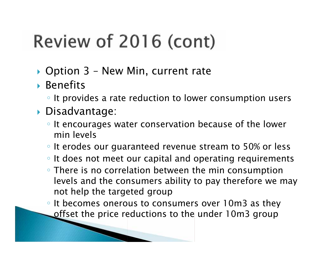# Review of 2016 (cont)

- ▶ Option 3 New Min, current rate
- Benefits

It provides a rate reduction to lower consumption users

- Disadvantage:
	- It encourages water conservation because of the lower min levels
	- It erodes our guaranteed revenue stream to 50% or less It does not meet our capital and operating requirements There is no correlation between the min consumption levels and the consumers ability to pay therefore we may not help the targeted group

It becomes onerous to consumers over 10m3 as they offset the price reductions to the under 10m3 group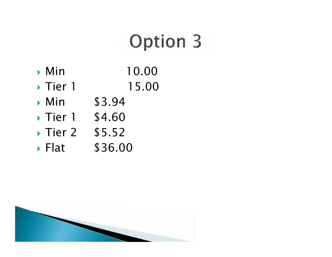# **Option 3**

- **Min** 10.00
- ▶ Tier 1 15.00
- ▶ Min \$3.94
- Tier 1 \$4.60
- Tier 2 \$5.52
- ▶ Flat \$36.00

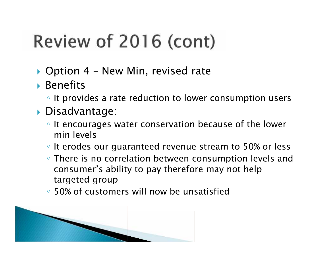# Review of 2016 (cont)

- ▶ Option 4 New Min, revised rate
- Benefits

It provides a rate reduction to lower consumption users

- Disadvantage:
	- It encourages water conservation because of the lower min levels

It erodes our guaranteed revenue stream to 50% or less There is no correlation between consumption levels and consumer's ability to pay therefore may not help targeted group

50% of customers will now be unsatisfied

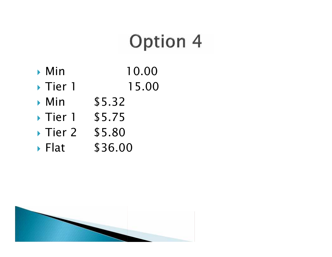## **Option 4**

- **Min** 10.00
- ▶ Tier 1 15.00
- ▶ Min \$5.32
- Tier 1 \$5.75
- ▶ Tier 2 \$5.80
- ▶ Flat \$36.00

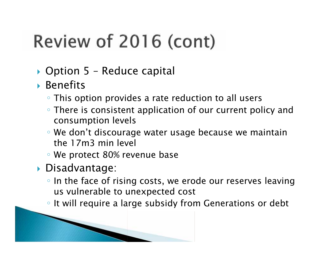# Review of 2016 (cont)

- ▶ Option 5 Reduce capital
- Benefits
	- This option provides a rate reduction to all users
	- There is consistent application of our current policy and consumption levels
	- We don't discourage water usage because we maintain the 17m3 min level
	- We protect 80% revenue base
- Disadvantage:
	- In the face of rising costs, we erode our reserves leaving us vulnerable to unexpected cost
	- It will require a large subsidy from Generations or debt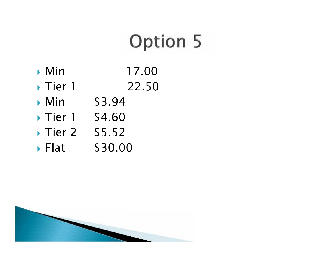## **Option 5**

- Min 17.00
- ◆ Tier 1 22.50
- ▶ Min \$3.94
- Tier 1 \$4.60
- Tier 2 \$5.52
- ▶ Flat \$30.00

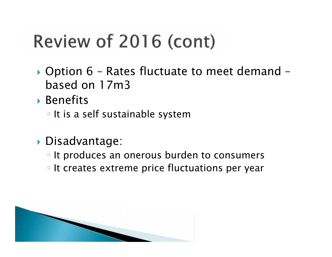# Review of 2016 (cont)

- ▶ Option 6 Rates fluctuate to meet demand based on 17m3
- ▶ Benefits

It is a self sustainable system

Disadvantage:

It produces an onerous burden to consumers It creates extreme price fluctuations per year

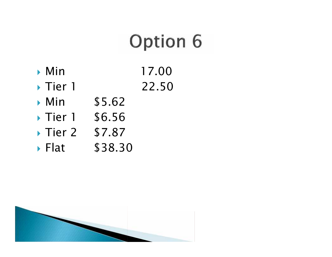# **Option 6**

- ▶ Min 17.00
- ◆ Tier 1 22.50
- ▶ Min \$5.62
- Tier 1 \$6.56
- ▶ Tier 2 \$7.87
- ▶ Flat \$38.30

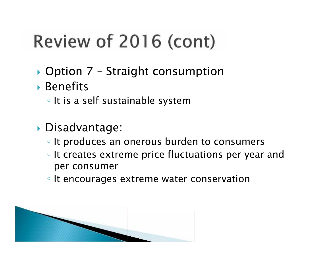# Review of 2016 (cont)

- ▶ Option 7 Straight consumption
- Benefits
	- It is a self sustainable system
- Disadvantage:
	- It produces an onerous burden to consumers It creates extreme price fluctuations per year and per consumer
	- It encourages extreme water conservation

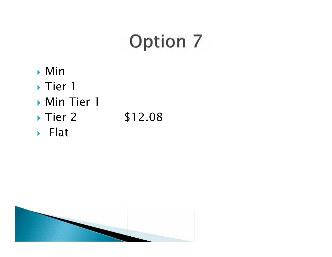# **Option 7**

- Min
- ▶ Tier 1
- **Min Tier 1**
- ◆ Tier 2 \$12.08
- ▶ Flat

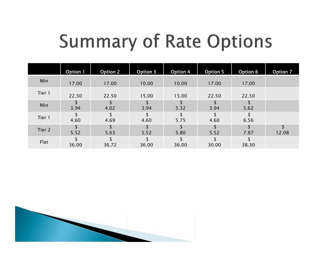## **Summary of Rate Options**

|        | Option 1 | <b>Option 2</b> | Option 3 | Option 4 | <b>Option 5</b> | Option 6 | <b>Option 7</b> |
|--------|----------|-----------------|----------|----------|-----------------|----------|-----------------|
| Min    | 17.00    | 17.00           | 10.00    | 10.00    | 17.00           | 17.00    |                 |
| Tier 1 | 22.50    | 22.50           | 15.00    | 15.00    | 22.50           | 22.50    |                 |
| Min    | 3.94     | 4.02            | 3.94     | 5.32     | 3.94            | 5.62     |                 |
| Tier 1 | 4.60     | 4.69            | 4.60     | 5.75     | 4.60            | 6.56     |                 |
| Tier 2 | 5.52     | 5.63            | 5.52     | 5.80     | 5.52            | 7.87     | 12.08           |
| Flat   | 36.00    | 36.72           | 36.00    | 36.00    | 30.00           | 38.30    |                 |

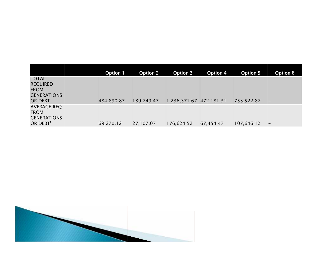|                                                                          | <b>Option 1</b> | <b>Option 2</b> | Option 3                | Option 4  | <b>Option 5</b> | Option 6          |
|--------------------------------------------------------------------------|-----------------|-----------------|-------------------------|-----------|-----------------|-------------------|
| TOTAL<br><b>REQUIRED</b><br><b>FROM</b><br><b>GENERATIONS</b><br>OR DEBT | 484,890.87      | 189,749.47      | 1,236,371.67 472,181.31 |           | 753,522.87      |                   |
| <b>AVERAGE REQ</b><br><b>FROM</b><br><b>GENERATIONS</b><br>OR DEBT'      | 69,270.12       | 27,107.07       | 176,624.52              | 67,454.47 | 107,646.12      | $\qquad \qquad -$ |

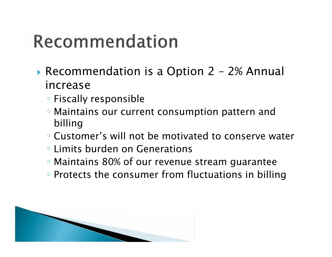## Recommendation

- ▶ Recommendation is a Option 2 2% Annual increase
	- Fiscally responsible
	- Maintains our current consumption pattern and billing
	- Customer's will not be motivated to conserve water Limits burden on Generations
	- Maintains 80% of our revenue stream guarantee
	- Protects the consumer from fluctuations in billing